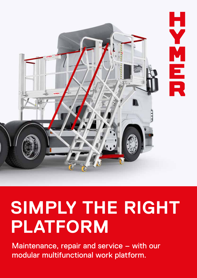

# **SIMPLY THE RIGHT PLATFORM**

Maintenance, repair and service – with our modular multifunctional work platform.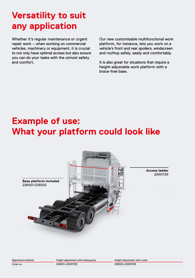### **Versatility to suit any application**

Whether it's regular maintenance or urgent repair work – when working on commercial vehicles, machinery or equipment, it is crucial to not only have optimal access but also ensure you can do your tasks with the utmost safety and comfort.

Our new customisable multifunctional work platform, for instance, lets you work on a vehicle's front and rear spoilers, windscreen and rooftop safely, easily and comfortably.

It is also great for situations that require a height-adjustable work platform with a brace-free base.

### **Example of use: What your platform could look like**



**Access ladder** 20001135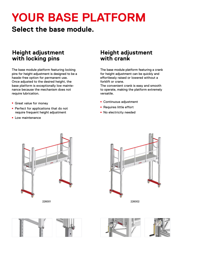## **YOUR BASE PLATFORM**

**Select the base module.**

#### **Height adjustment with locking pins**

The base module platform featuring locking pins for height adjustment is designed to be a hassle-free option for permanent use. Once adjusted to the desired height, the base platform is exceptionally low maintenance because the mechanism does not require lubrication.

- **Great value for money**
- Perfect for applications that do not require frequent height adjustment
- **E** Low maintenance

#### **Height adjustment with crank**

The base module platform featuring a crank for height adjustment can be quickly and effortlessly raised or lowered without a forklift or crane.

The convenient crank is easy and smooth to operate, making the platform extremely versatile.

- <sup>ȫ</sup> Continuous adjustment
- Requires little effort
- No electricity needed





226001 226002

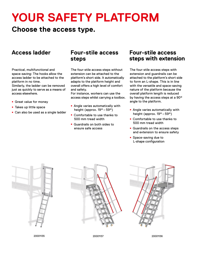### **YOUR SAFETY PLATFORM**

#### **Choose the access type.**

Practical, multifunctional and space-saving: The hooks allow the access ladder to be attached to the platform in no time.

Similarly, the ladder can be removed just as quickly to serve as a means of access elsewhere.

- **Great value for money**
- **Takes up little space**
- Can also be used as a single ladder

#### **Access ladder Four-stile access Four-stile access steps**

The four-stile access steps without extension can be attached to the platform's short side. It automatically adapts to the platform height and overall offers a high level of comfort and safety.

For instance, workers can use the access steps whilst carrying a toolbox.

- **Angle varies automatically with** height (approx. 19° – 59°)
- Comfortable to use thanks to 500 mm tread width
- Guardrails on both sides to ensure safe access

### **steps with extension**

The four-stile access steps with extension and guardrails can be attached to the platform's short side to form an L-shape. This is in line with the versatile and space-saving nature of the platform because the overall platform length is reduced by having the access steps at a 90° angle to the platform.

- **Angle varies automatically with** height (approx. 19° – 59°)
- Comfortable to use thanks to 500 mm tread width
- **Guardrails on the access steps** and extension to ensure safety
- Space-saving due to L-shape configuration







20001135 20001137 20001136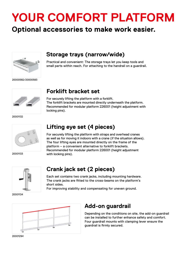## **YOUR COMFORT PLATFORM**

#### **Optional accessories to make work easier.**



#### **Storage trays (narrow/wide)**

Practical and convenient: The storage trays let you keep tools and small parts within reach. For attaching to the handrail on a guardrail.

20000582/20000583



#### **Forklift bracket set**

For securely lifting the platform with a forklift. The forklift brackets are mounted directly underneath the platform. Recommended for modular platform 226001 (height adjustment with locking pins).

20001132



**Lifting eye set (4 pieces)**

For securely lifting the platform with straps and overhead cranes as well as for moving it indoors with a crane (if the situation allows). The four lifting eyes are mounted directly on the frame of the platform – a convenient alternative to forklift brackets. Recommended for modular platform 226001 (height adjustment with locking pins).



#### **Crank jack set (2 pieces)**

Each set contains two crank jacks, including mounting hardware. The crank jacks are fitted to the cross-beams on the platform's short sides.

For improving stability and compensating for uneven ground.

20001134



#### **Add-on guardrail**

Depending on the conditions on site, the add-on guardrail can be installed to further enhance safety and comfort. Four guardrail mounts with clamping lever ensure the guardrail is firmly secured.

20001294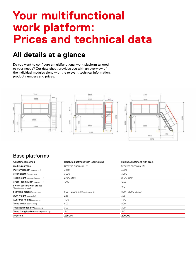### **Your multifunctional work platform: Prices and technical data**

#### **All details at a glance**

Do you want to configure a multifunctional work platform tailored to your needs? Our data sheet provides you with an overview of the individual modules along with the relevant technical information, product numbers and prices.



#### Base platforms

| Adjustment method                                    | Height adjustment with locking pins | Height adjustment with crank |
|------------------------------------------------------|-------------------------------------|------------------------------|
| Walking surface                                      | Grooved aluminium R11               | Grooved aluminium R11        |
| Platform length (approx.mm)                          | 3250                                | 3250                         |
| Clear length (approx. mm)                            | 3000                                | 3000                         |
| Total height min/max (approx. mm)                    | 2104/3304                           | 2104/3304                    |
| Cross-beam width (approx. mm)                        | 1200                                | 1200                         |
| Swivel castors with brakes<br>(diameter, approx. mm) |                                     | 160                          |
| Standing height (approx. mm)                         | 800 - 2000 (in 100 mm increments)   | $800 - 2000$ (stepless)      |
| Own weight (approx.kg)                               | 285                                 | 325                          |
| Guardrail height (approx. mm)                        | 1100                                | 1100                         |
| Tread width (approx. mm)                             | 800                                 | 800                          |
| Total load capacity (approx. kg)                     | 300                                 | 300                          |
| Tread/rung load capacity (approx.kg)                 | 150                                 | 150                          |
| Order no.                                            | 226001                              | 226002                       |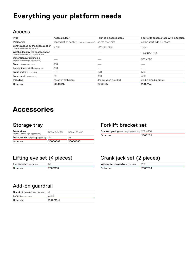### **Everything your platform needs**

#### Access

| Type                                                                       | Access ladder                              | Four-stile access steps | Four-stile access steps with extension |
|----------------------------------------------------------------------------|--------------------------------------------|-------------------------|----------------------------------------|
| Positioning                                                                | dependent on height (in 280 mm increments) | on the short side       | on the short side in L-shape           |
| Length added by the access option<br>retracted/extended (approx. mm)       | $+700$                                     | $+2540/+2050$           | $+950$                                 |
| Width added by the access option<br>retracted/extended length (approx. mm) |                                            |                         | $+2360/+1870$                          |
| Dimensions of extension<br>length x width x height (approx. mm)            |                                            |                         | $935 \times 680$                       |
| Tread rise (approx. mm)                                                    | 250                                        |                         |                                        |
| Ladder inner width (approx. mm)                                            | 350                                        |                         |                                        |
| Tread width (approx. mm)                                                   |                                            | 520                     | 520                                    |
| Tread depth (approx. mm)                                                   | 80                                         | 300                     | 300                                    |
| Including                                                                  | hooks on both sides                        | double-sided quardrail  | double-sided quardrail                 |
| Order no.                                                                  | 20001135                                   | 20001137                | 20001136                               |

#### **Accessories**

#### Storage tray

| length x width x height (approx. mm)<br>Maximum load capacity (approx.kg) 10 | 500x130x85 | 500x230x85<br>1O) |
|------------------------------------------------------------------------------|------------|-------------------|
| Order no.                                                                    | 20000582   | 20000583          |

#### Lifting eye set (4 pieces)

Eye diameter (approx. mm) 50 Order no. 20001133

#### Forklift bracket set

| <b>Bracket opening</b> width x height, (approx. mm) 250 x 100 |          |
|---------------------------------------------------------------|----------|
| Order no.                                                     | 20001132 |

#### Crank jack set (2 pieces)

| Widens the chassis by (approx.mm) | 255      |
|-----------------------------------|----------|
| Order no.                         | 20001134 |

#### Add-on guardrail

| Order no.                          | 20001294 |
|------------------------------------|----------|
| <b>Length</b> (approx. mm)         | 3000     |
| Guardrail bracket (clamping lever) |          |